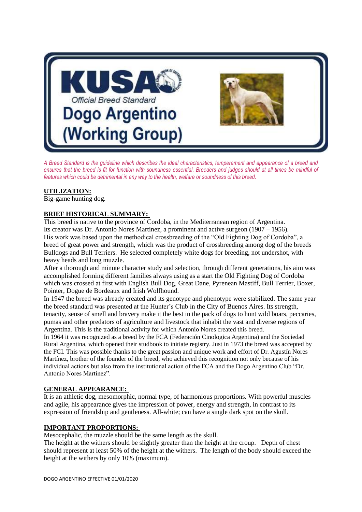

*A Breed Standard is the guideline which describes the ideal characteristics, temperament and appearance of a breed and ensures that the breed is fit for function with soundness essential. Breeders and judges should at all times be mindful of features which could be detrimental in any way to the health, welfare or soundness of this breed.*

# **UTILIZATION:**

Big-game hunting dog.

# **BRIEF HISTORICAL SUMMARY:**

This breed is native to the province of Cordoba, in the Mediterranean region of Argentina. Its creator was Dr. Antonio Nores Martinez, a prominent and active surgeon (1907 – 1956). His work was based upon the methodical crossbreeding of the "Old Fighting Dog of Cordoba", a breed of great power and strength, which was the product of crossbreeding among dog of the breeds Bulldogs and Bull Terriers. He selected completely white dogs for breeding, not undershot, with heavy heads and long muzzle.

After a thorough and minute character study and selection, through different generations, his aim was accomplished forming different families always using as a start the Old Fighting Dog of Cordoba which was crossed at first with English Bull Dog, Great Dane, Pyrenean Mastiff, Bull Terrier, Boxer, Pointer, Dogue de Bordeaux and Irish Wolfhound.

In 1947 the breed was already created and its genotype and phenotype were stabilized. The same year the breed standard was presented at the Hunter's Club in the City of Buenos Aires. Its strength, tenacity, sense of smell and bravery make it the best in the pack of dogs to hunt wild boars, peccaries, pumas and other predators of agriculture and livestock that inhabit the vast and diverse regions of Argentina. This is the traditional activity for which Antonio Nores created this breed.

In 1964 it was recognized as a breed by the FCA (Federación Cinologica Argentina) and the Sociedad Rural Argentina, which opened their studbook to initiate registry. Just in 1973 the breed was accepted by the FCI. This was possible thanks to the great passion and unique work and effort of Dr. Agustín Nores Martínez, brother of the founder of the breed, who achieved this recognition not only because of his individual actions but also from the institutional action of the FCA and the Dogo Argentino Club "Dr. Antonio Nores Martinez".

# **GENERAL APPEARANCE:**

It is an athletic dog, mesomorphic, normal type, of harmonious proportions. With powerful muscles and agile, his appearance gives the impression of power, energy and strength, in contrast to its expression of friendship and gentleness. All-white; can have a single dark spot on the skull.

### **IMPORTANT PROPORTIONS:**

Mesocephalic, the muzzle should be the same length as the skull.

The height at the withers should be slightly greater than the height at the croup. Depth of chest should represent at least 50% of the height at the withers. The length of the body should exceed the height at the withers by only 10% (maximum).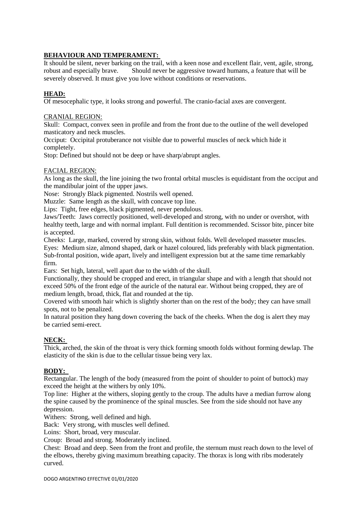# **BEHAVIOUR AND TEMPERAMENT:**

It should be silent, never barking on the trail, with a keen nose and excellent flair, vent, agile, strong, robust and especially brave. Should never be aggressive toward humans, a feature that will be severely observed. It must give you love without conditions or reservations.

### **HEAD:**

Of mesocephalic type, it looks strong and powerful. The cranio-facial axes are convergent.

### CRANIAL REGION:

Skull: Compact, convex seen in profile and from the front due to the outline of the well developed masticatory and neck muscles.

Occiput: Occipital protuberance not visible due to powerful muscles of neck which hide it completely.

Stop: Defined but should not be deep or have sharp/abrupt angles.

### FACIAL REGION:

As long as the skull, the line joining the two frontal orbital muscles is equidistant from the occiput and the mandibular joint of the upper jaws.

Nose: Strongly Black pigmented. Nostrils well opened.

Muzzle: Same length as the skull, with concave top line.

Lips: Tight, free edges, black pigmented, never pendulous.

Jaws/Teeth: Jaws correctly positioned, well-developed and strong, with no under or overshot, with healthy teeth, large and with normal implant. Full dentition is recommended. Scissor bite, pincer bite is accepted.

Cheeks: Large, marked, covered by strong skin, without folds. Well developed masseter muscles. Eyes: Medium size, almond shaped, dark or hazel coloured, lids preferably with black pigmentation. Sub-frontal position, wide apart, lively and intelligent expression but at the same time remarkably firm.

Ears: Set high, lateral, well apart due to the width of the skull.

Functionally, they should be cropped and erect, in triangular shape and with a length that should not exceed 50% of the front edge of the auricle of the natural ear. Without being cropped, they are of medium length, broad, thick, flat and rounded at the tip.

Covered with smooth hair which is slightly shorter than on the rest of the body; they can have small spots, not to be penalized.

In natural position they hang down covering the back of the cheeks. When the dog is alert they may be carried semi-erect.

# **NECK:**

Thick, arched, the skin of the throat is very thick forming smooth folds without forming dewlap. The elasticity of the skin is due to the cellular tissue being very lax.

### **BODY:**

Rectangular. The length of the body (measured from the point of shoulder to point of buttock) may exceed the height at the withers by only 10%.

Top line: Higher at the withers, sloping gently to the croup. The adults have a median furrow along the spine caused by the prominence of the spinal muscles. See from the side should not have any depression.

Withers: Strong, well defined and high.

Back: Very strong, with muscles well defined.

Loins: Short, broad, very muscular.

Croup: Broad and strong. Moderately inclined.

Chest: Broad and deep. Seen from the front and profile, the sternum must reach down to the level of the elbows, thereby giving maximum breathing capacity. The thorax is long with ribs moderately curved.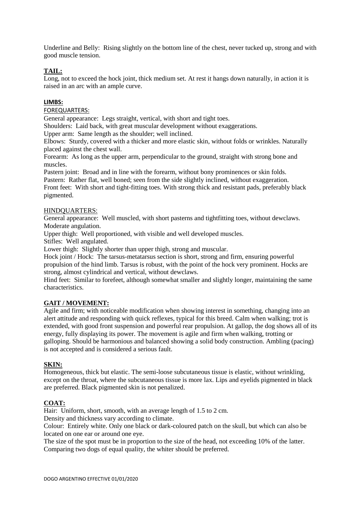Underline and Belly: Rising slightly on the bottom line of the chest, never tucked up, strong and with good muscle tension.

# **TAIL:**

Long, not to exceed the hock joint, thick medium set. At rest it hangs down naturally, in action it is raised in an arc with an ample curve.

### **LIMBS:**

FOREQUARTERS:

General appearance: Legs straight, vertical, with short and tight toes.

Shoulders: Laid back, with great muscular development without exaggerations.

Upper arm: Same length as the shoulder; well inclined.

Elbows: Sturdy, covered with a thicker and more elastic skin, without folds or wrinkles. Naturally placed against the chest wall.

Forearm: As long as the upper arm, perpendicular to the ground, straight with strong bone and muscles.

Pastern joint: Broad and in line with the forearm, without bony prominences or skin folds. Pastern: Rather flat, well boned; seen from the side slightly inclined, without exaggeration. Front feet: With short and tight-fitting toes. With strong thick and resistant pads, preferably black pigmented.

### HINDQUARTERS:

General appearance: Well muscled, with short pasterns and tightfitting toes, without dewclaws. Moderate angulation.

Upper thigh: Well proportioned, with visible and well developed muscles.

Stifles: Well angulated.

Lower thigh: Slightly shorter than upper thigh, strong and muscular.

Hock joint / Hock: The tarsus-metatarsus section is short, strong and firm, ensuring powerful propulsion of the hind limb. Tarsus is robust, with the point of the hock very prominent. Hocks are strong, almost cylindrical and vertical, without dewclaws.

Hind feet: Similar to forefeet, although somewhat smaller and slightly longer, maintaining the same characteristics.

### **GAIT / MOVEMENT:**

Agile and firm; with noticeable modification when showing interest in something, changing into an alert attitude and responding with quick reflexes, typical for this breed. Calm when walking; trot is extended, with good front suspension and powerful rear propulsion. At gallop, the dog shows all of its energy, fully displaying its power. The movement is agile and firm when walking, trotting or galloping. Should be harmonious and balanced showing a solid body construction. Ambling (pacing) is not accepted and is considered a serious fault.

### **SKIN:**

Homogeneous, thick but elastic. The semi-loose subcutaneous tissue is elastic, without wrinkling, except on the throat, where the subcutaneous tissue is more lax. Lips and eyelids pigmented in black are preferred. Black pigmented skin is not penalized.

### **COAT:**

Hair: Uniform, short, smooth, with an average length of 1.5 to 2 cm.

Density and thickness vary according to climate.

Colour: Entirely white. Only one black or dark-coloured patch on the skull, but which can also be located on one ear or around one eye.

The size of the spot must be in proportion to the size of the head, not exceeding 10% of the latter. Comparing two dogs of equal quality, the whiter should be preferred.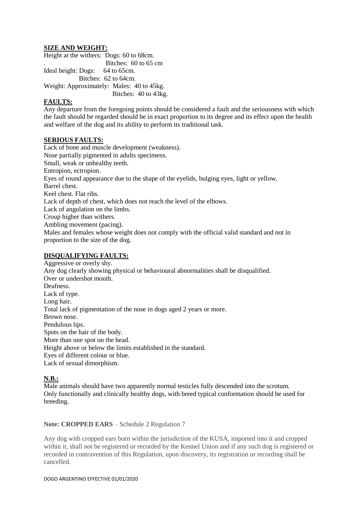### **SIZE AND WEIGHT:**

Height at the withers: Dogs: 60 to 68cm. Bitches: 60 to 65 cm Ideal height: Dogs: 64 to 65cm. Bitches: 62 to 64cm. Weight: Approximately: Males: 40 to 45kg. Bitches: 40 to 43kg.

### **FAULTS:**

Any departure from the foregoing points should be considered a fault and the seriousness with which the fault should be regarded should be in exact proportion to its degree and its effect upon the health and welfare of the dog and its ability to perform its traditional task.

### **SERIOUS FAULTS:**

Lack of bone and muscle development (weakness). Nose partially pigmented in adults specimens. Small, weak or unhealthy teeth. Entropion, ectropion. Eyes of round appearance due to the shape of the eyelids, bulging eyes, light or yellow. Barrel chest. Keel chest. Flat ribs. Lack of depth of chest, which does not reach the level of the elbows. Lack of angulation on the limbs. Croup higher than withers. Ambling movement (pacing). Males and females whose weight does not comply with the official valid standard and not in proportion to the size of the dog.

### **DISQUALIFYING FAULTS:**

Aggressive or overly shy. Any dog clearly showing physical or behavioural abnormalities shall be disqualified. Over or undershot mouth. Deafness. Lack of type. Long hair. Total lack of pigmentation of the nose in dogs aged 2 years or more. Brown nose. Pendulous lips. Spots on the hair of the body. More than one spot on the head. Height above or below the limits established in the standard. Eyes of different colour or blue. Lack of sexual dimorphism.

### **N.B.:**

Male animals should have two apparently normal testicles fully descended into the scrotum. Only functionally and clinically healthy dogs, with breed typical conformation should be used for breeding.

**Note: CROPPED EARS** – Schedule 2 Regulation 7

Any dog with cropped ears born within the jurisdiction of the KUSA, imported into it and cropped within it, shall not be registered or recorded by the Kennel Union and if any such dog is registered or recorded in contravention of this Regulation, upon discovery, its registration or recording shall be cancelled.